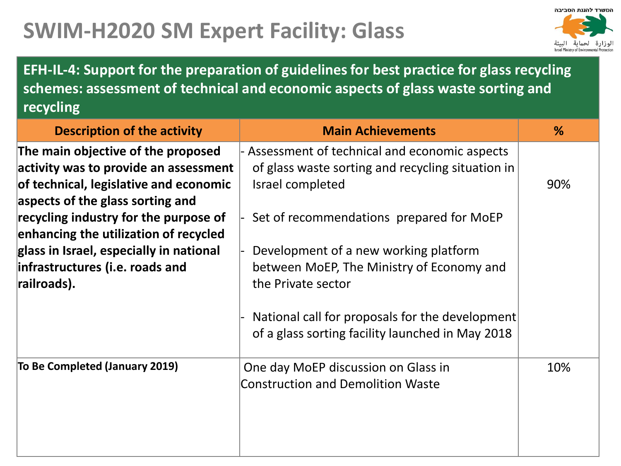## **SWIM-H2020 SM Expert Facility: Glass**



**EFH-IL-4: Support for the preparation of guidelines for best practice for glass recycling schemes: assessment of technical and economic aspects of glass waste sorting and recycling**

| <b>Description of the activity</b>      | <b>Main Achievements</b>                          | %   |
|-----------------------------------------|---------------------------------------------------|-----|
| The main objective of the proposed      | Assessment of technical and economic aspects      |     |
| activity was to provide an assessment   | of glass waste sorting and recycling situation in |     |
| of technical, legislative and economic  | Israel completed                                  | 90% |
| aspects of the glass sorting and        |                                                   |     |
| recycling industry for the purpose of   | Set of recommendations prepared for MoEP          |     |
| enhancing the utilization of recycled   |                                                   |     |
| glass in Israel, especially in national | Development of a new working platform             |     |
| infrastructures (i.e. roads and         | between MoEP, The Ministry of Economy and         |     |
| railroads).                             | the Private sector                                |     |
|                                         |                                                   |     |
|                                         | National call for proposals for the development   |     |
|                                         | of a glass sorting facility launched in May 2018  |     |
|                                         |                                                   |     |
| To Be Completed (January 2019)          | One day MoEP discussion on Glass in               | 10% |
|                                         | <b>Construction and Demolition Waste</b>          |     |
|                                         |                                                   |     |
|                                         |                                                   |     |
|                                         |                                                   |     |
|                                         |                                                   |     |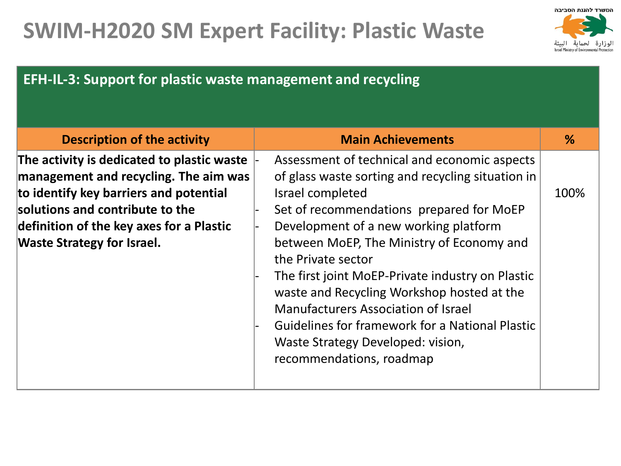## **SWIM-H2020 SM Expert Facility: Plastic Waste**



## **EFH-IL-3: Support for plastic waste management and recycling**

| <b>Description of the activity</b>                                                                                                                                                                                                                | <b>Main Achievements</b>                                                                                                                                                                                                                                                                                                                                                                                                                                                                                                                                 | %    |
|---------------------------------------------------------------------------------------------------------------------------------------------------------------------------------------------------------------------------------------------------|----------------------------------------------------------------------------------------------------------------------------------------------------------------------------------------------------------------------------------------------------------------------------------------------------------------------------------------------------------------------------------------------------------------------------------------------------------------------------------------------------------------------------------------------------------|------|
| The activity is dedicated to plastic waste<br>management and recycling. The aim was<br>to identify key barriers and potential<br>solutions and contribute to the<br>definition of the key axes for a Plastic<br><b>Waste Strategy for Israel.</b> | Assessment of technical and economic aspects<br>of glass waste sorting and recycling situation in<br>Israel completed<br>Set of recommendations prepared for MoEP<br>Development of a new working platform<br>between MoEP, The Ministry of Economy and<br>the Private sector<br>The first joint MoEP-Private industry on Plastic<br>waste and Recycling Workshop hosted at the<br><b>Manufacturers Association of Israel</b><br><b>Guidelines for framework for a National Plastic</b><br>Waste Strategy Developed: vision,<br>recommendations, roadmap | 100% |
|                                                                                                                                                                                                                                                   |                                                                                                                                                                                                                                                                                                                                                                                                                                                                                                                                                          |      |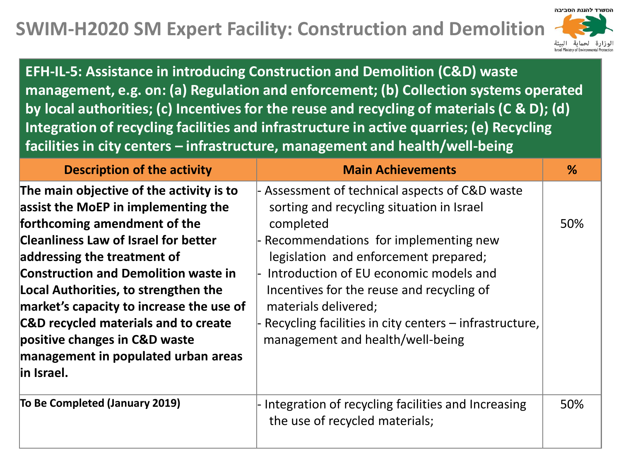## **SWIM-H2020 SM Expert Facility: Construction and Demolition**



**EFH-IL-5: Assistance in introducing Construction and Demolition (C&D) waste management, e.g. on: (a) Regulation and enforcement; (b) Collection systems operated by local authorities; (c) Incentives for the reuse and recycling of materials (C & D); (d) Integration of recycling facilities and infrastructure in active quarries; (e) Recycling facilities in city centers – infrastructure, management and health/well-being**

| <b>Description of the activity</b>                                                                                                                                                                                                                                                                                                                                                                                                                              | <b>Main Achievements</b>                                                                                                                                                                                                                                                                                                                                                                                   | %   |
|-----------------------------------------------------------------------------------------------------------------------------------------------------------------------------------------------------------------------------------------------------------------------------------------------------------------------------------------------------------------------------------------------------------------------------------------------------------------|------------------------------------------------------------------------------------------------------------------------------------------------------------------------------------------------------------------------------------------------------------------------------------------------------------------------------------------------------------------------------------------------------------|-----|
| The main objective of the activity is to<br>assist the MoEP in implementing the<br>forthcoming amendment of the<br><b>Cleanliness Law of Israel for better</b><br>addressing the treatment of<br><b>Construction and Demolition waste in</b><br>Local Authorities, to strengthen the<br>market's capacity to increase the use of<br>C&D recycled materials and to create<br>positive changes in C&D waste<br>management in populated urban areas<br>lin Israel. | - Assessment of technical aspects of C&D waste<br>sorting and recycling situation in Israel<br>completed<br>- Recommendations for implementing new<br>legislation and enforcement prepared;<br>Introduction of EU economic models and<br>Incentives for the reuse and recycling of<br>materials delivered;<br>- Recycling facilities in city centers – infrastructure,<br>management and health/well-being | 50% |
| To Be Completed (January 2019)                                                                                                                                                                                                                                                                                                                                                                                                                                  | - Integration of recycling facilities and Increasing<br>the use of recycled materials;                                                                                                                                                                                                                                                                                                                     | 50% |